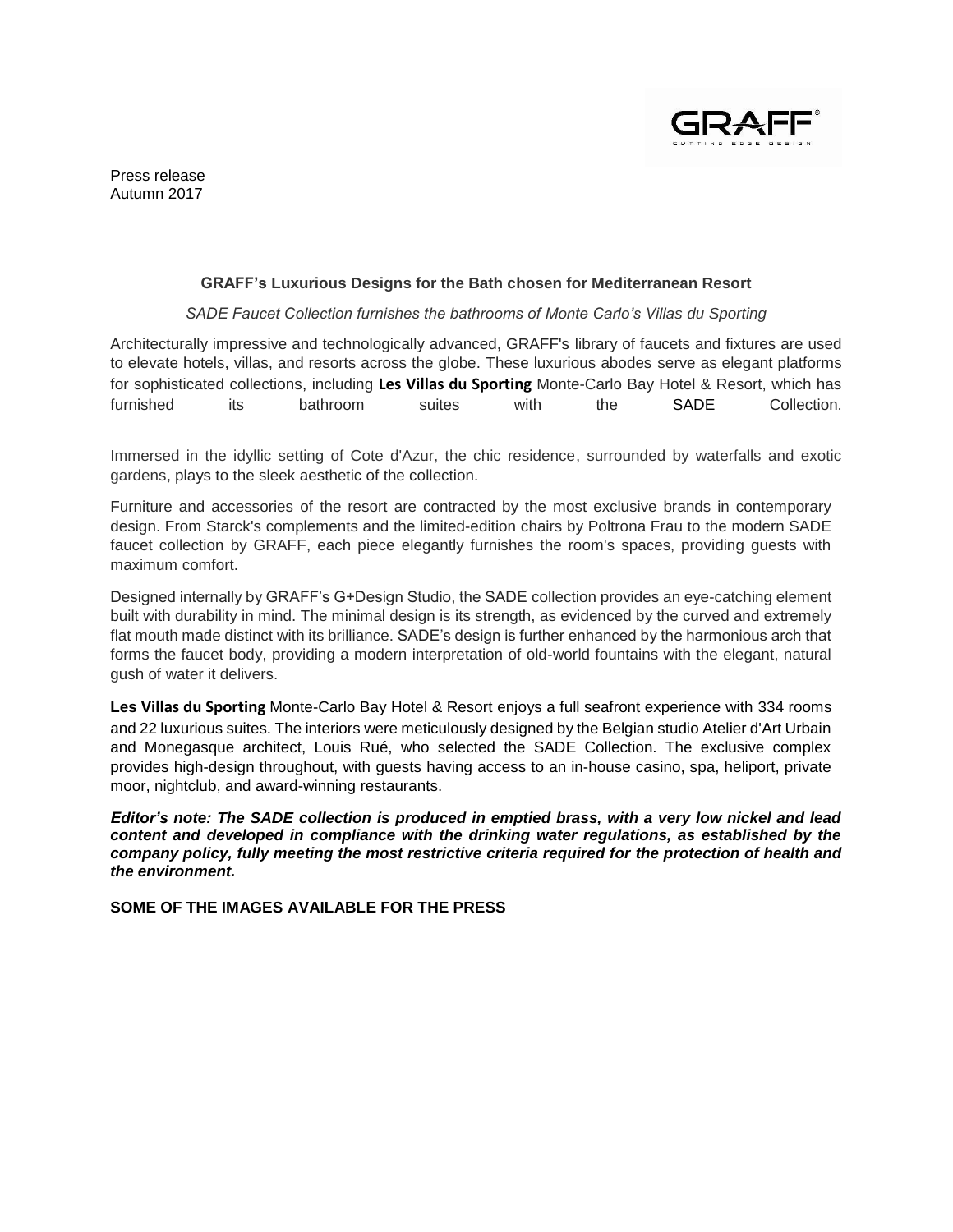

Press release Autumn 2017

## **GRAFF's Luxurious Designs for the Bath chosen for Mediterranean Resort**

## *SADE Faucet Collection furnishes the bathrooms of Monte Carlo's Villas du Sporting*

Architecturally impressive and technologically advanced, GRAFF's library of faucets and fixtures are used to elevate hotels, villas, and resorts across the globe. These luxurious abodes serve as elegant platforms for sophisticated collections, including **Les Villas du Sporting** Monte-Carlo Bay Hotel & Resort, which has furnished its bathroom suites with the SADE Collection.

Immersed in the idyllic setting of Cote d'Azur, the chic residence, surrounded by waterfalls and exotic gardens, plays to the sleek aesthetic of the collection.

Furniture and accessories of the resort are contracted by the most exclusive brands in contemporary design. From Starck's complements and the limited-edition chairs by Poltrona Frau to the modern SADE faucet collection by GRAFF, each piece elegantly furnishes the room's spaces, providing guests with maximum comfort.

Designed internally by GRAFF's G+Design Studio, the SADE collection provides an eye-catching element built with durability in mind. The minimal design is its strength, as evidenced by the curved and extremely flat mouth made distinct with its brilliance. SADE's design is further enhanced by the harmonious arch that forms the faucet body, providing a modern interpretation of old-world fountains with the elegant, natural gush of water it delivers.

**Les Villas du Sporting** Monte-Carlo Bay Hotel & Resort enjoys a full seafront experience with 334 rooms and 22 luxurious suites. The interiors were meticulously designed by the Belgian studio Atelier d'Art Urbain and Monegasque architect, Louis Rué, who selected the SADE Collection. The exclusive complex provides high-design throughout, with guests having access to an in-house casino, spa, heliport, private moor, nightclub, and award-winning restaurants.

*Editor's note: The SADE collection is produced in emptied brass, with a very low nickel and lead content and developed in compliance with the drinking water regulations, as established by the company policy, fully meeting the most restrictive criteria required for the protection of health and the environment.*

**SOME OF THE IMAGES AVAILABLE FOR THE PRESS**